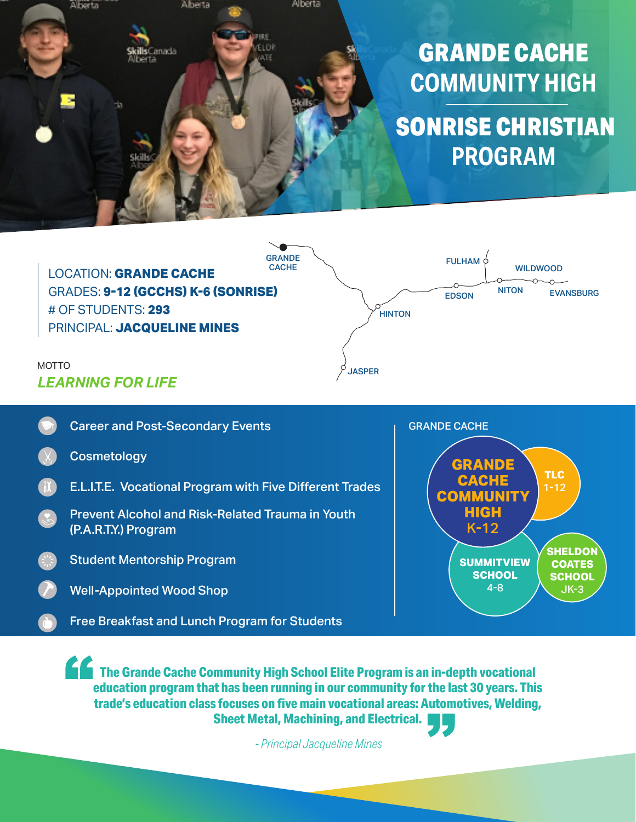



# *LEARNING FOR LIFE*



**The Grande Cache Community High School Elite Program is an in-depth vocational education program that has been running in our community for the last 30 years. This trade's education class focuses on five main vocational areas: Automotives, Welding, Sheet Metal, Machining, and Electrical.**

*- Principal Jacqueline Mines*